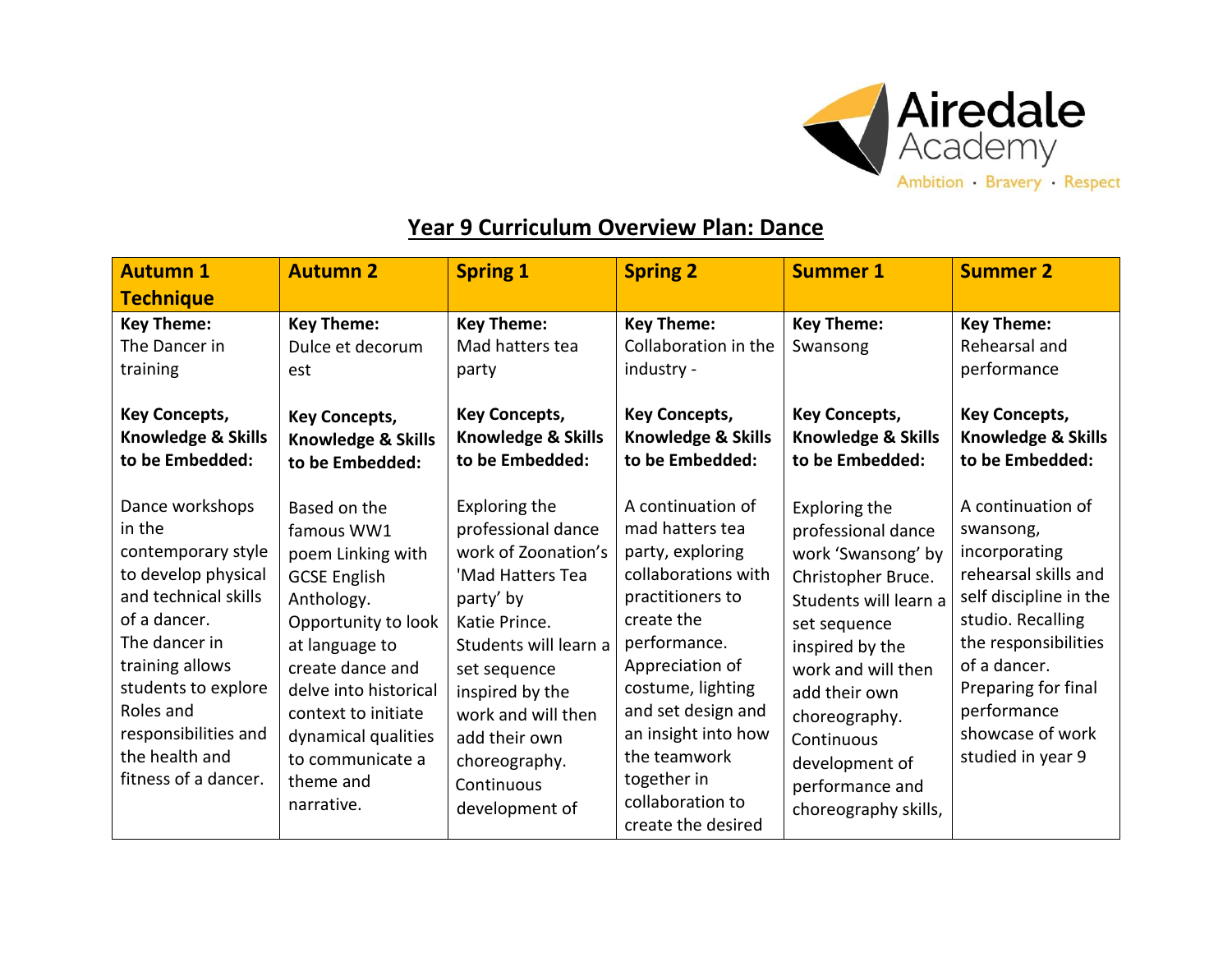

## **Year 9 Curriculum Overview Plan: Dance**

| <b>Autumn 1</b>                                                                                                                                                                                                                                          | <b>Autumn 2</b>                                                                                                                                                                                                                                                         | <b>Spring 1</b>                                                                                                                                                                                                                                                  | <b>Spring 2</b>                                                                                                                                                                                                                                                                                 | <b>Summer 1</b>                                                                                                                                                                                                                                                                | <b>Summer 2</b>                                                                                                                                                                                                                               |
|----------------------------------------------------------------------------------------------------------------------------------------------------------------------------------------------------------------------------------------------------------|-------------------------------------------------------------------------------------------------------------------------------------------------------------------------------------------------------------------------------------------------------------------------|------------------------------------------------------------------------------------------------------------------------------------------------------------------------------------------------------------------------------------------------------------------|-------------------------------------------------------------------------------------------------------------------------------------------------------------------------------------------------------------------------------------------------------------------------------------------------|--------------------------------------------------------------------------------------------------------------------------------------------------------------------------------------------------------------------------------------------------------------------------------|-----------------------------------------------------------------------------------------------------------------------------------------------------------------------------------------------------------------------------------------------|
| <b>Technique</b>                                                                                                                                                                                                                                         |                                                                                                                                                                                                                                                                         |                                                                                                                                                                                                                                                                  |                                                                                                                                                                                                                                                                                                 |                                                                                                                                                                                                                                                                                |                                                                                                                                                                                                                                               |
| <b>Key Theme:</b><br>The Dancer in<br>training<br><b>Key Concepts,</b><br>Knowledge & Skills<br>to be Embedded:                                                                                                                                          | <b>Key Theme:</b><br>Dulce et decorum<br>est<br><b>Key Concepts,</b><br><b>Knowledge &amp; Skills</b><br>to be Embedded:                                                                                                                                                | <b>Key Theme:</b><br>Mad hatters tea<br>party<br><b>Key Concepts,</b><br>Knowledge & Skills<br>to be Embedded:                                                                                                                                                   | <b>Key Theme:</b><br>Collaboration in the<br>industry -<br><b>Key Concepts,</b><br><b>Knowledge &amp; Skills</b><br>to be Embedded:                                                                                                                                                             | <b>Key Theme:</b><br>Swansong<br><b>Key Concepts,</b><br>Knowledge & Skills<br>to be Embedded:                                                                                                                                                                                 | <b>Key Theme:</b><br>Rehearsal and<br>performance<br><b>Key Concepts,</b><br>Knowledge & Skills<br>to be Embedded:                                                                                                                            |
| Dance workshops<br>in the<br>contemporary style<br>to develop physical<br>and technical skills<br>of a dancer.<br>The dancer in<br>training allows<br>students to explore<br>Roles and<br>responsibilities and<br>the health and<br>fitness of a dancer. | Based on the<br>famous WW1<br>poem Linking with<br><b>GCSE English</b><br>Anthology.<br>Opportunity to look<br>at language to<br>create dance and<br>delve into historical<br>context to initiate<br>dynamical qualities<br>to communicate a<br>theme and<br>narrative. | Exploring the<br>professional dance<br>work of Zoonation's<br>'Mad Hatters Tea<br>party' by<br>Katie Prince.<br>Students will learn a<br>set sequence<br>inspired by the<br>work and will then<br>add their own<br>choreography.<br>Continuous<br>development of | A continuation of<br>mad hatters tea<br>party, exploring<br>collaborations with<br>practitioners to<br>create the<br>performance.<br>Appreciation of<br>costume, lighting<br>and set design and<br>an insight into how<br>the teamwork<br>together in<br>collaboration to<br>create the desired | Exploring the<br>professional dance<br>work 'Swansong' by<br>Christopher Bruce.<br>Students will learn a<br>set sequence<br>inspired by the<br>work and will then<br>add their own<br>choreography.<br>Continuous<br>development of<br>performance and<br>choreography skills, | A continuation of<br>swansong,<br>incorporating<br>rehearsal skills and<br>self discipline in the<br>studio. Recalling<br>the responsibilities<br>of a dancer.<br>Preparing for final<br>performance<br>showcase of work<br>studied in year 9 |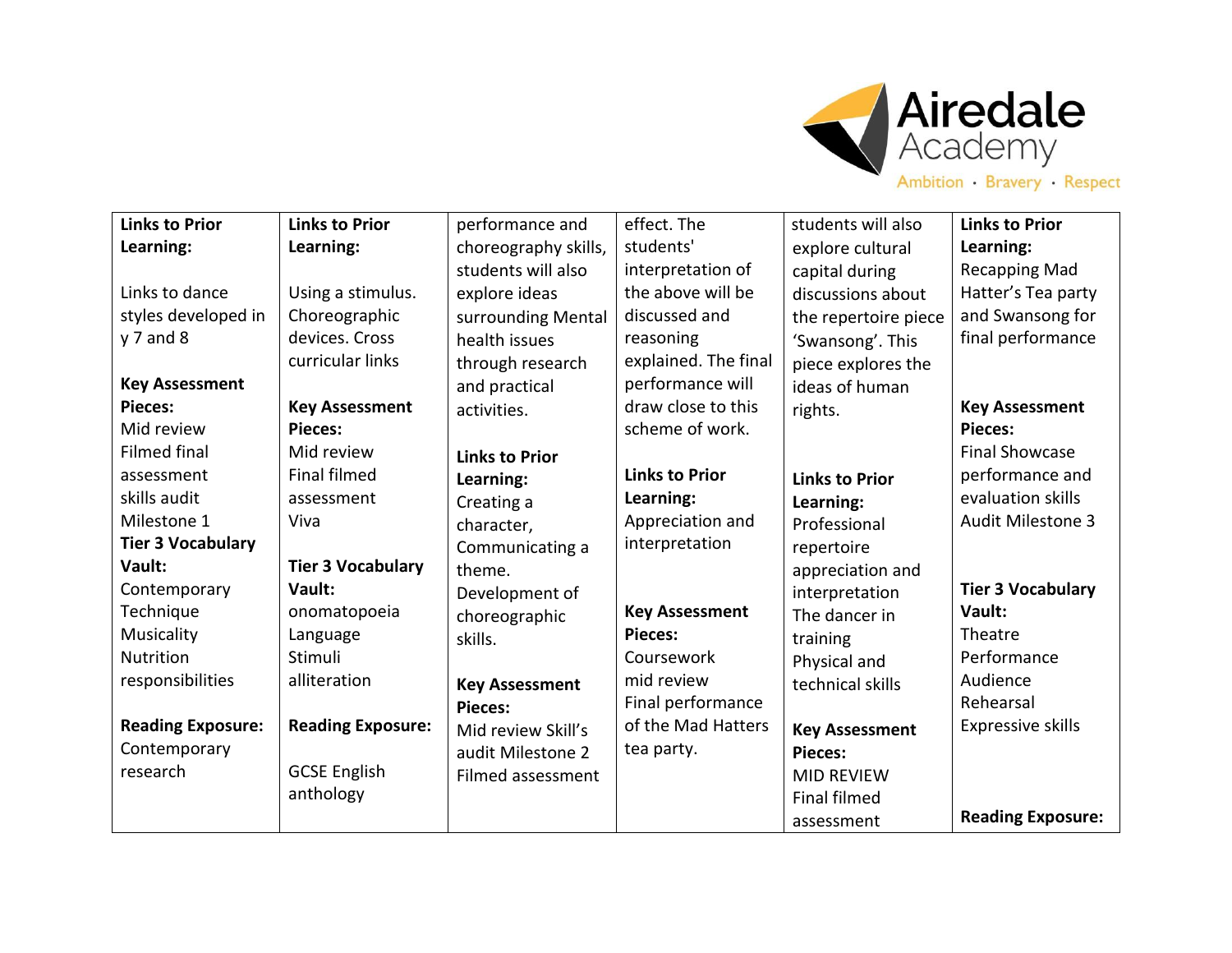

| <b>Links to Prior</b>    | <b>Links to Prior</b>    | performance and       | effect. The           | students will also    | <b>Links to Prior</b>    |
|--------------------------|--------------------------|-----------------------|-----------------------|-----------------------|--------------------------|
| Learning:                | Learning:                | choreography skills,  | students'             | explore cultural      | Learning:                |
|                          |                          | students will also    | interpretation of     | capital during        | <b>Recapping Mad</b>     |
| Links to dance           | Using a stimulus.        | explore ideas         | the above will be     | discussions about     | Hatter's Tea party       |
| styles developed in      | Choreographic            | surrounding Mental    | discussed and         | the repertoire piece  | and Swansong for         |
| $y$ 7 and 8              | devices. Cross           | health issues         | reasoning             | 'Swansong'. This      | final performance        |
|                          | curricular links         | through research      | explained. The final  | piece explores the    |                          |
| <b>Key Assessment</b>    |                          | and practical         | performance will      | ideas of human        |                          |
| <b>Pieces:</b>           | <b>Key Assessment</b>    | activities.           | draw close to this    | rights.               | <b>Key Assessment</b>    |
| Mid review               | <b>Pieces:</b>           |                       | scheme of work.       |                       | <b>Pieces:</b>           |
| <b>Filmed final</b>      | Mid review               | <b>Links to Prior</b> |                       |                       | <b>Final Showcase</b>    |
| assessment               | <b>Final filmed</b>      | Learning:             | <b>Links to Prior</b> | <b>Links to Prior</b> | performance and          |
| skills audit             | assessment               | Creating a            | Learning:             | Learning:             | evaluation skills        |
| Milestone 1              | Viva                     | character,            | Appreciation and      | Professional          | <b>Audit Milestone 3</b> |
| <b>Tier 3 Vocabulary</b> |                          | Communicating a       | interpretation        | repertoire            |                          |
| Vault:                   | <b>Tier 3 Vocabulary</b> | theme.                |                       | appreciation and      |                          |
| Contemporary             | Vault:                   | Development of        |                       | interpretation        | <b>Tier 3 Vocabulary</b> |
| Technique                | onomatopoeia             | choreographic         | <b>Key Assessment</b> | The dancer in         | Vault:                   |
| Musicality               | Language                 | skills.               | <b>Pieces:</b>        | training              | Theatre                  |
| <b>Nutrition</b>         | Stimuli                  |                       | Coursework            | Physical and          | Performance              |
| responsibilities         | alliteration             | <b>Key Assessment</b> | mid review            | technical skills      | Audience                 |
|                          |                          | <b>Pieces:</b>        | Final performance     |                       | Rehearsal                |
| <b>Reading Exposure:</b> | <b>Reading Exposure:</b> | Mid review Skill's    | of the Mad Hatters    | <b>Key Assessment</b> | <b>Expressive skills</b> |
| Contemporary             |                          | audit Milestone 2     | tea party.            | <b>Pieces:</b>        |                          |
| research                 | <b>GCSE English</b>      | Filmed assessment     |                       | <b>MID REVIEW</b>     |                          |
|                          | anthology                |                       |                       | <b>Final filmed</b>   |                          |
|                          |                          |                       |                       | assessment            | <b>Reading Exposure:</b> |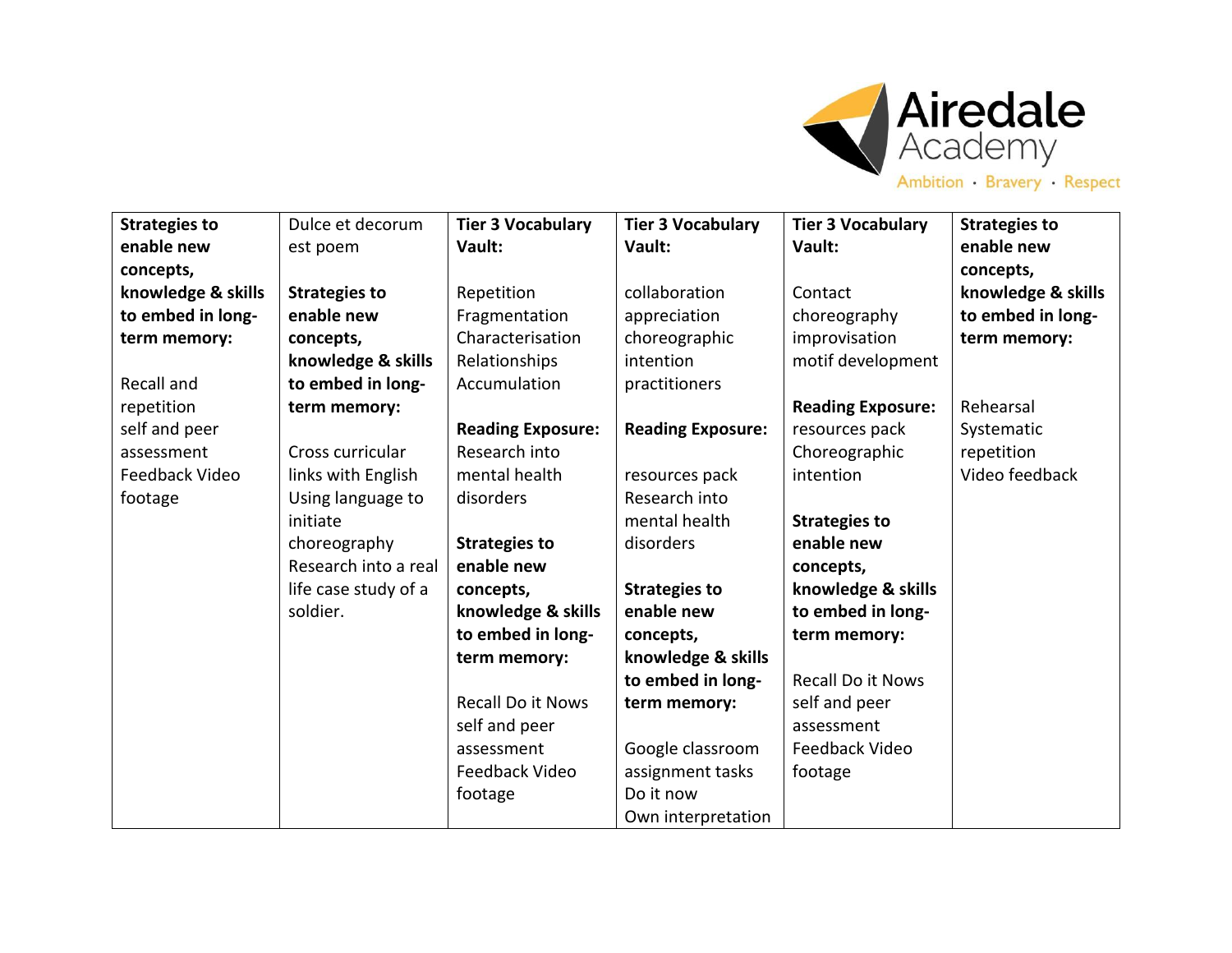

| Ambition Bravery Respect |
|--------------------------|
|--------------------------|

| <b>Strategies to</b> | Dulce et decorum     | <b>Tier 3 Vocabulary</b> | <b>Tier 3 Vocabulary</b> | <b>Tier 3 Vocabulary</b> | <b>Strategies to</b> |
|----------------------|----------------------|--------------------------|--------------------------|--------------------------|----------------------|
| enable new           | est poem             | Vault:                   | Vault:                   | Vault:                   | enable new           |
| concepts,            |                      |                          |                          |                          | concepts,            |
| knowledge & skills   | <b>Strategies to</b> | Repetition               | collaboration            | Contact                  | knowledge & skills   |
| to embed in long-    | enable new           | Fragmentation            | appreciation             | choreography             | to embed in long-    |
| term memory:         | concepts,            | Characterisation         | choreographic            | improvisation            | term memory:         |
|                      | knowledge & skills   | Relationships            | intention                | motif development        |                      |
| Recall and           | to embed in long-    | Accumulation             | practitioners            |                          |                      |
| repetition           | term memory:         |                          |                          | <b>Reading Exposure:</b> | Rehearsal            |
| self and peer        |                      | <b>Reading Exposure:</b> | <b>Reading Exposure:</b> | resources pack           | Systematic           |
| assessment           | Cross curricular     | Research into            |                          | Choreographic            | repetition           |
| Feedback Video       | links with English   | mental health            | resources pack           | intention                | Video feedback       |
| footage              | Using language to    | disorders                | Research into            |                          |                      |
|                      | initiate             |                          | mental health            | <b>Strategies to</b>     |                      |
|                      | choreography         | <b>Strategies to</b>     | disorders                | enable new               |                      |
|                      | Research into a real | enable new               |                          | concepts,                |                      |
|                      | life case study of a | concepts,                | <b>Strategies to</b>     | knowledge & skills       |                      |
|                      | soldier.             | knowledge & skills       | enable new               | to embed in long-        |                      |
|                      |                      | to embed in long-        | concepts,                | term memory:             |                      |
|                      |                      | term memory:             | knowledge & skills       |                          |                      |
|                      |                      |                          | to embed in long-        | <b>Recall Do it Nows</b> |                      |
|                      |                      | <b>Recall Do it Nows</b> | term memory:             | self and peer            |                      |
|                      |                      | self and peer            |                          | assessment               |                      |
|                      |                      | assessment               | Google classroom         | Feedback Video           |                      |
|                      |                      | Feedback Video           | assignment tasks         | footage                  |                      |
|                      |                      | footage                  | Do it now                |                          |                      |
|                      |                      |                          | Own interpretation       |                          |                      |